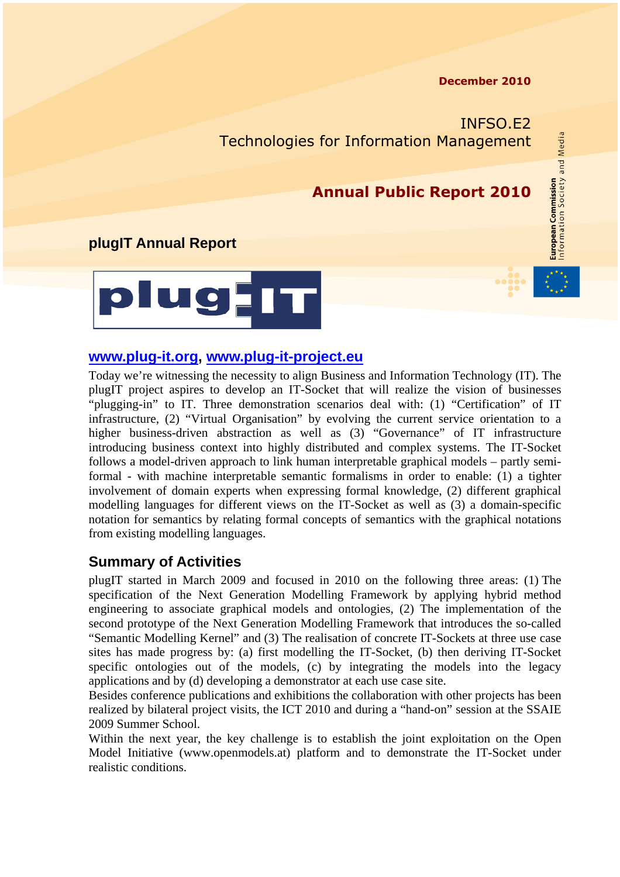#### **December 2010**

**European Commission**<br>Information Society and Media

INFSO.E2 Technologies for Information Management

### **Annual Public Report 2010**

### **plugIT Annual Report**



#### **[www.plug-it.org,](http://www.plug-it.org/) [www.plug-it-project.eu](http://www.plug-it-project.eu/)**

Today we're witnessing the necessity to align Business and Information Technology (IT). The plugIT project aspires to develop an IT-Socket that will realize the vision of businesses "plugging-in" to IT. Three demonstration scenarios deal with: (1) "Certification" of IT infrastructure, (2) "Virtual Organisation" by evolving the current service orientation to a higher business-driven abstraction as well as  $(3)$  "Governance" of IT infrastructure introducing business context into highly distributed and complex systems. The IT-Socket follows a model-driven approach to link human interpretable graphical models – partly semiformal - with machine interpretable semantic formalisms in order to enable: (1) a tighter involvement of domain experts when expressing formal knowledge, (2) different graphical modelling languages for different views on the IT-Socket as well as (3) a domain-specific notation for semantics by relating formal concepts of semantics with the graphical notations from existing modelling languages.

### **Summary of Activities**

plugIT started in March 2009 and focused in 2010 on the following three areas: (1) The specification of the Next Generation Modelling Framework by applying hybrid method engineering to associate graphical models and ontologies, (2) The implementation of the second prototype of the Next Generation Modelling Framework that introduces the so-called "Semantic Modelling Kernel" and (3) The realisation of concrete IT-Sockets at three use case sites has made progress by: (a) first modelling the IT-Socket, (b) then deriving IT-Socket specific ontologies out of the models, (c) by integrating the models into the legacy applications and by (d) developing a demonstrator at each use case site.

Besides conference publications and exhibitions the collaboration with other projects has been realized by bilateral project visits, the ICT 2010 and during a "hand-on" session at the SSAIE 2009 Summer School.

Within the next year, the key challenge is to establish the joint exploitation on the Open Model Initiative (www.openmodels.at) platform and to demonstrate the IT-Socket under realistic conditions.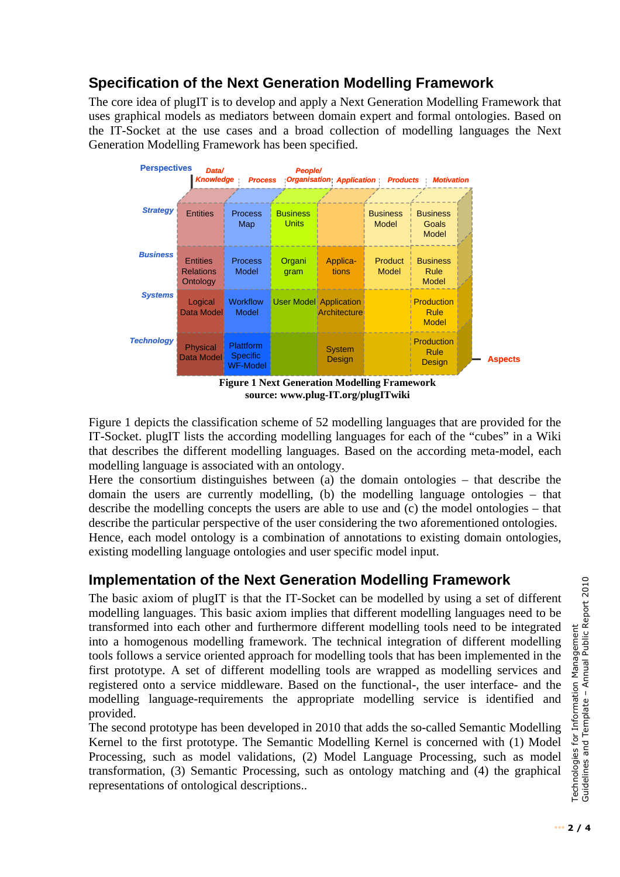# **Specification of the Next Generation Modelling Framework**

The core idea of plugIT is to develop and apply a Next Generation Modelling Framework that uses graphical models as mediators between domain expert and formal ontologies. Based on the IT-Socket at the use cases and a broad collection of modelling languages the Next Generation Modelling Framework has been specified.



**source: www.plug-IT.org/plugITwiki** 

<span id="page-1-0"></span>[Figure 1](#page-1-0) depicts the classification scheme of 52 modelling languages that are provided for the IT-Socket. plugIT lists the according modelling languages for each of the "cubes" in a Wiki that describes the different modelling languages. Based on the according meta-model, each modelling language is associated with an ontology.

Here the consortium distinguishes between (a) the domain ontologies – that describe the domain the users are currently modelling, (b) the modelling language ontologies – that describe the modelling concepts the users are able to use and (c) the model ontologies – that describe the particular perspective of the user considering the two aforementioned ontologies. Hence, each model ontology is a combination of annotations to existing domain ontologies, existing modelling language ontologies and user specific model input.

## **Implementation of the Next Generation Modelling Framework**

The basic axiom of plugIT is that the IT-Socket can be modelled by using a set of different modelling languages. This basic axiom implies that different modelling languages need to be transformed into each other and furthermore different modelling tools need to be integrated into a homogenous modelling framework. The technical integration of different modelling tools follows a service oriented approach for modelling tools that has been implemented in the first prototype. A set of different modelling tools are wrapped as modelling services and registered onto a service middleware. Based on the functional-, the user interface- and the modelling language-requirements the appropriate modelling service is identified and provided.

The second prototype has been developed in 2010 that adds the so-called Semantic Modelling Kernel to the first prototype. The Semantic Modelling Kernel is concerned with (1) Model Processing, such as model validations, (2) Model Language Processing, such as model transformation, (3) Semantic Processing, such as ontology matching and (4) the graphical representations of ontological descriptions..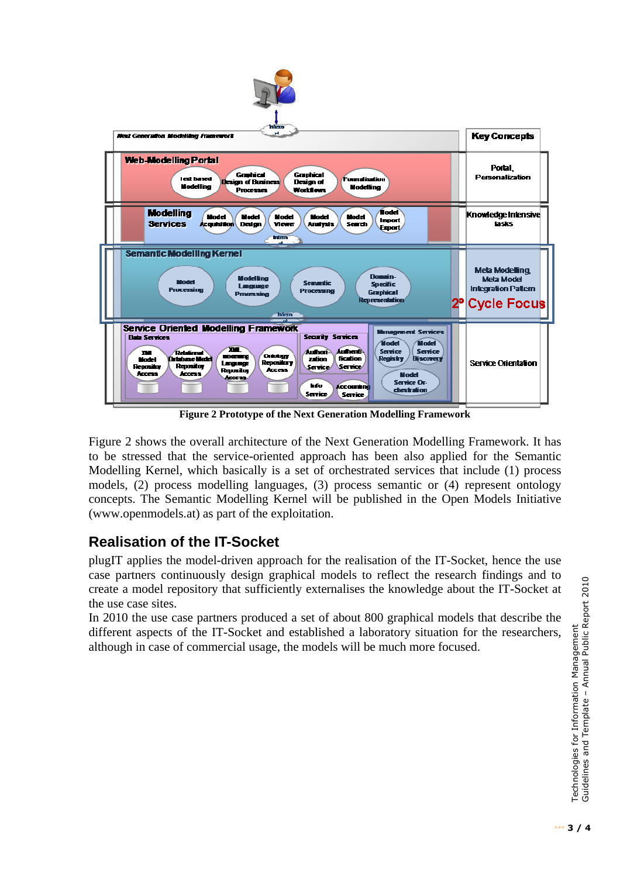

**Figure 2 Prototype of the Next Generation Modelling Framework** 

<span id="page-2-0"></span>[Figure 2](#page-2-0) shows the overall architecture of the Next Generation Modelling Framework. It has to be stressed that the service-oriented approach has been also applied for the Semantic Modelling Kernel, which basically is a set of orchestrated services that include (1) process models, (2) process modelling languages, (3) process semantic or (4) represent ontology concepts. The Semantic Modelling Kernel will be published in the Open Models Initiative (www.openmodels.at) as part of the exploitation.

## **Realisation of the IT-Socket**

plugIT applies the model-driven approach for the realisation of the IT-Socket, hence the use case partners continuously design graphical models to reflect the research findings and to create a model repository that sufficiently externalises the knowledge about the IT-Socket at the use case sites.

In 2010 the use case partners produced a set of about 800 graphical models that describe the different aspects of the IT-Socket and established a laboratory situation for the researchers, although in case of commercial usage, the models will be much more focused.